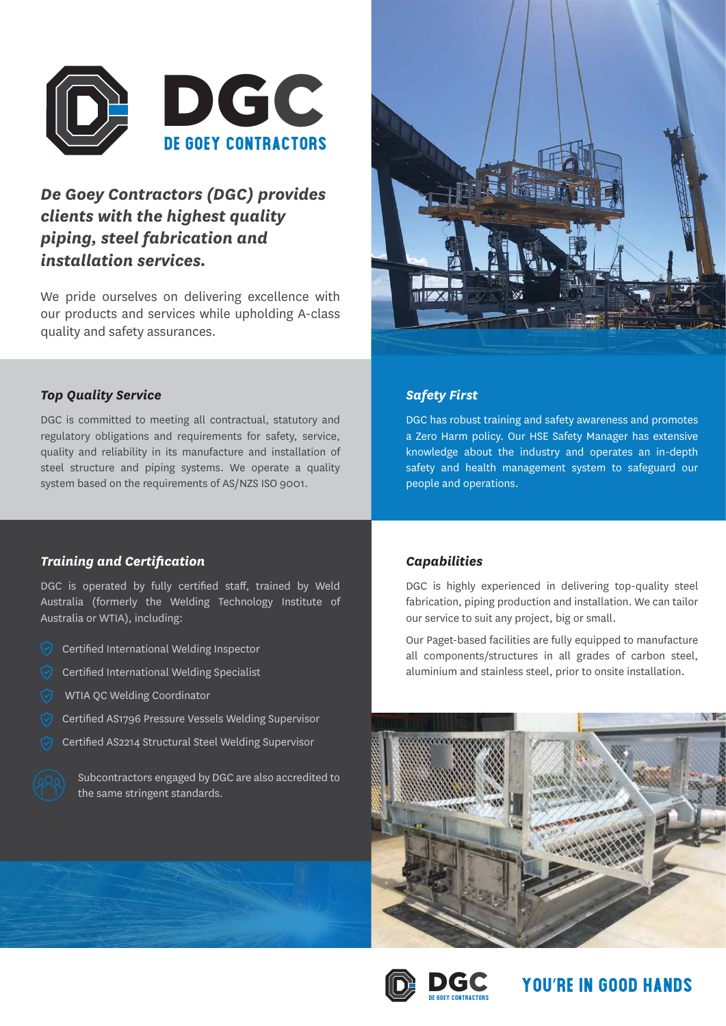

# *De Goey Contractors (DGC) provides clients with the highest quality piping, steel fabrication and installation services.*

We pride ourselves on delivering excellence with our products and services while upholding A-class quality and safety assurances.



## *Safety First*

DGC has robust training and safety awareness and promotes a Zero Harm policy. Our HSE Safety Manager has extensive knowledge about the industry and operates an in-depth safety and health management system to safeguard our people and operations.

## *Top Quality Service*

DGC is committed to meeting all contractual, statutory and regulatory obligations and requirements for safety, service, quality and reliability in its manufacture and installation of steel structure and piping systems. We operate a quality system based on the requirements of AS/NZS ISO 9001.

### *Training and Certification*

DGC is operated by fully certified staff, trained by Weld Australia (formerly the Welding Technology Institute of Australia or WTIA), including:

- Certified International Welding Inspector
- $\heartsuit$  Certified International Welding Specialist
- WTIA QC Welding Coordinator
- Certified AS1796 Pressure Vessels Welding Supervisor
- Certified AS2214 Structural Steel Welding Supervisor



Subcontractors engaged by DGC are also accredited to the same stringent standards.

#### *Capabilities*

DGC is highly experienced in delivering top-quality steel fabrication, piping production and installation. We can tailor our service to suit any project, big or small.

Our Paget-based facilities are fully equipped to manufacture all components/structures in all grades of carbon steel, aluminium and stainless steel, prior to onsite installation.





**You**'**re in Good Hands**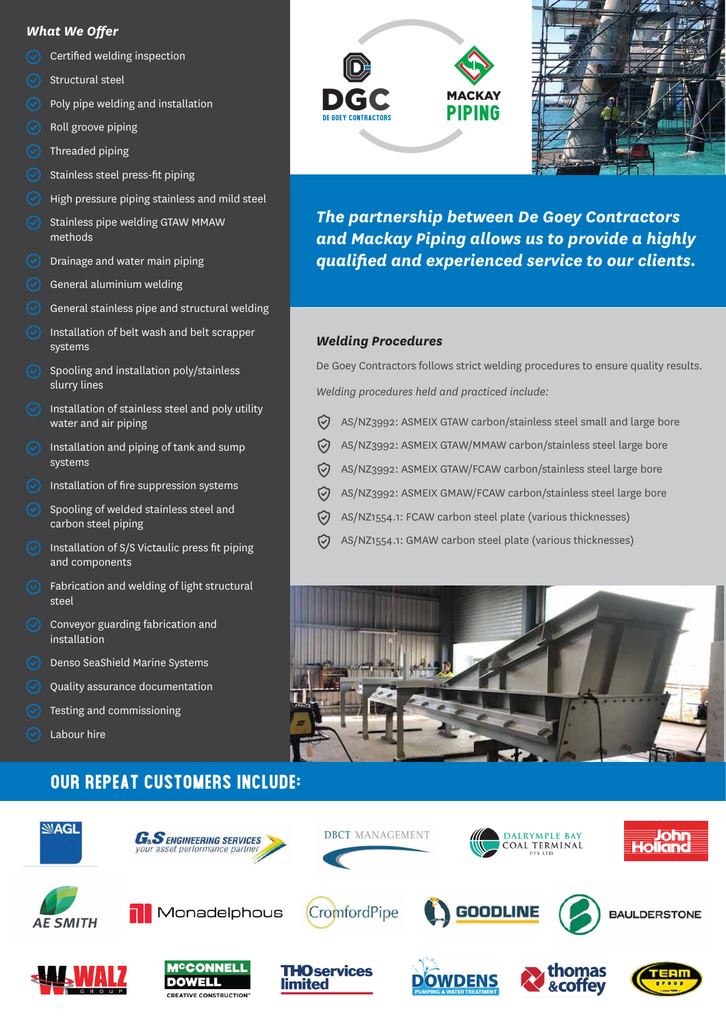### *What We Offer*

- Certified welding inspection
- Structural steel
- Poly pipe welding and installation
- Roll groove piping
- $\odot$  Threaded piping
- Stainless steel press-fit piping
- High pressure piping stainless and mild steel
- Stainless pipe welding GTAW MMAW methods
- $\odot$  Drainage and water main piping
- General aluminium welding
- General stainless pipe and structural welding
- Installation of belt wash and belt scrapper systems
- Spooling and installation poly/stainless slurry lines
- $\heartsuit$  Installation of stainless steel and poly utility water and air piping
- $\circled{)}$  Installation and piping of tank and sump systems
- $\odot$  Installation of fire suppression systems
- Spooling of welded stainless steel and carbon steel piping
- $\heartsuit$  Installation of S/S Victaulic press fit piping and components
- Fabrication and welding of light structural steel
- Conveyor guarding fabrication and installation
- $\heartsuit$  Denso SeaShield Marine Systems
- Quality assurance documentation
- Testing and commissioning
- Labour hire

# **Our Repeat Customers Include:**







*The partnership between De Goey Contractors and Mackay Piping allows us to provide a highly qualified and experienced service to our clients.*

### *Welding Procedures*

De Goey Contractors follows strict welding procedures to ensure quality results. *Welding procedures held and practiced include:* 

- $\heartsuit$ AS/NZ3992: ASMEIX GTAW carbon/stainless steel small and large bore
- $\heartsuit$ AS/NZ3992: ASMEIX GTAW/MMAW carbon/stainless steel large bore
- $\heartsuit$ AS/NZ3992: ASMEIX GTAW/FCAW carbon/stainless steel large bore
- AS/NZ3992: ASMEIX GMAW/FCAW carbon/stainless steel large bore  $\heartsuit$
- $\heartsuit$ AS/NZ1554.1: FCAW carbon steel plate (various thicknesses)
- ♡ AS/NZ1554.1: GMAW carbon steel plate (various thicknesses)